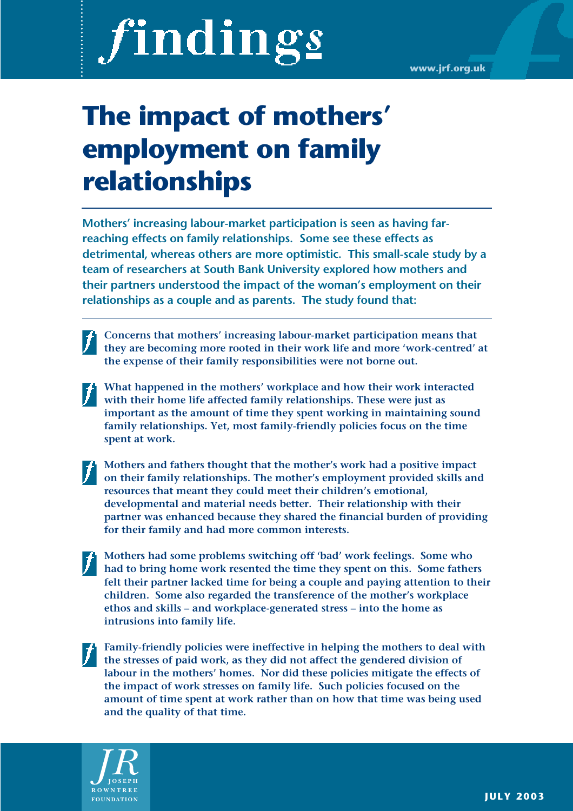# findings

# **The impact of mothers' employment on family relationships**

**Mothers' increasing labour-market participation is seen as having farreaching effects on family relationships. Some see these effects as detrimental, whereas others are more optimistic. This small-scale study by a team of researchers at South Bank University explored how mothers and their partners understood the impact of the woman's employment on their relationships as a couple and as parents. The study found that:**

- **Concerns that mothers' increasing labour-market participation means that** they are becoming more rooted in their work life and more 'work-centred' at **the expense of their family responsibilities were not borne out.**
- **What happened in the mothers' workplace and how their work interacted with their home life affected family relationships. These were just as important as the amount of time they spent working in maintaining sound family relationships. Yet, most family-friendly policies focus on the time spent at work.**
- **Mothers and fathers thought that the mother's work had a positive impact on their family relationships. The mother's employment provided skills and resources that meant they could meet their children's emotional, developmental and material needs better. Their relationship with their partner was enhanced because they shared the financial burden of providing for their family and had more common interests.**
- **Mothers had some problems switching off 'bad' work feelings. Some who had to bring home work resented the time they spent on this. Some fathers felt their partner lacked time for being a couple and paying attention to their children. Some also regarded the transference of the mother's workplace ethos and skills – and workplace-generated stress – into the home as intrusions into family life.**
- **Family-friendly policies were ineffective in helping the mothers to deal with the stresses of paid work, as they did not affect the gendered division of labour in the mothers' homes. Nor did these policies mitigate the effects of the impact of work stresses on family life. Such policies focused on the amount of time spent at work rather than on how that time was being used and the quality of that time.**

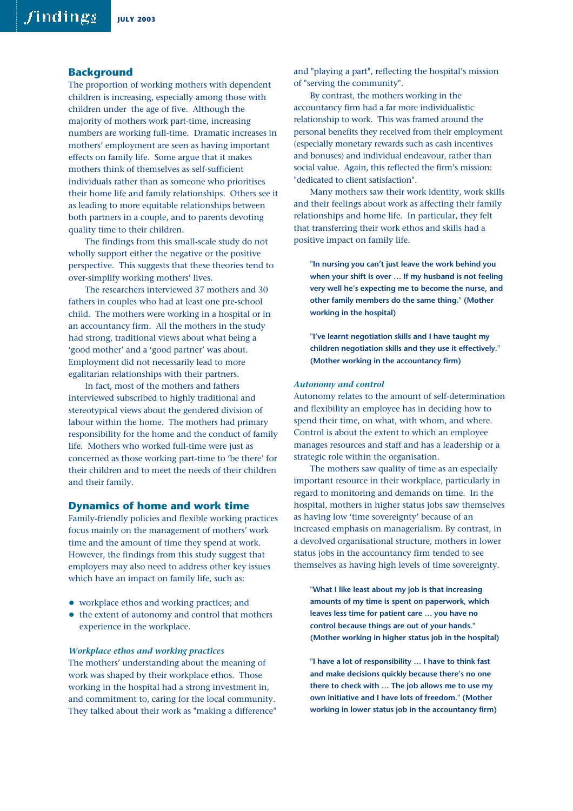#### **Background**

The proportion of working mothers with dependent children is increasing, especially among those with children under the age of five. Although the majority of mothers work part-time, increasing numbers are working full-time. Dramatic increases in mothers' employment are seen as having important effects on family life. Some argue that it makes mothers think of themselves as self-sufficient individuals rather than as someone who prioritises their home life and family relationships. Others see it as leading to more equitable relationships between both partners in a couple, and to parents devoting quality time to their children.

The findings from this small-scale study do not wholly support either the negative or the positive perspective. This suggests that these theories tend to over-simplify working mothers' lives.

The researchers interviewed 37 mothers and 30 fathers in couples who had at least one pre-school child. The mothers were working in a hospital or in an accountancy firm. All the mothers in the study had strong, traditional views about what being a 'good mother' and a 'good partner' was about. Employment did not necessarily lead to more egalitarian relationships with their partners.

In fact, most of the mothers and fathers interviewed subscribed to highly traditional and stereotypical views about the gendered division of labour within the home. The mothers had primary responsibility for the home and the conduct of family life. Mothers who worked full-time were just as concerned as those working part-time to 'be there' for their children and to meet the needs of their children and their family.

#### **Dynamics of home and work time**

Family-friendly policies and flexible working practices focus mainly on the management of mothers' work time and the amount of time they spend at work. However, the findings from this study suggest that employers may also need to address other key issues which have an impact on family life, such as:

- workplace ethos and working practices; and
- the extent of autonomy and control that mothers experience in the workplace.

#### *Workplace ethos and working practices*

The mothers' understanding about the meaning of work was shaped by their workplace ethos. Those working in the hospital had a strong investment in, and commitment to, caring for the local community. They talked about their work as "making a difference" and "playing a part", reflecting the hospital's mission of "serving the community".

By contrast, the mothers working in the accountancy firm had a far more individualistic relationship to work. This was framed around the personal benefits they received from their employment (especially monetary rewards such as cash incentives and bonuses) and individual endeavour, rather than social value. Again, this reflected the firm's mission: "dedicated to client satisfaction".

Many mothers saw their work identity, work skills and their feelings about work as affecting their family relationships and home life. In particular, they felt that transferring their work ethos and skills had a positive impact on family life.

**"In nursing you can't just leave the work behind you when your shift is over … If my husband is not feeling very well he's expecting me to become the nurse, and other family members do the same thing." (Mother working in the hospital)**

**"I've learnt negotiation skills and I have taught my children negotiation skills and they use it effectively." (Mother working in the accountancy firm)**

#### *Autonomy and control*

Autonomy relates to the amount of self-determination and flexibility an employee has in deciding how to spend their time, on what, with whom, and where. Control is about the extent to which an employee manages resources and staff and has a leadership or a strategic role within the organisation.

The mothers saw quality of time as an especially important resource in their workplace, particularly in regard to monitoring and demands on time. In the hospital, mothers in higher status jobs saw themselves as having low 'time sovereignty' because of an increased emphasis on managerialism. By contrast, in a devolved organisational structure, mothers in lower status jobs in the accountancy firm tended to see themselves as having high levels of time sovereignty.

**"What I like least about my job is that increasing amounts of my time is spent on paperwork, which leaves less time for patient care … you have no control because things are out of your hands." (Mother working in higher status job in the hospital)**

**"I have a lot of responsibility … I have to think fast and make decisions quickly because there's no one there to check with … The job allows me to use my own initiative and I have lots of freedom." (Mother working in lower status job in the accountancy firm)**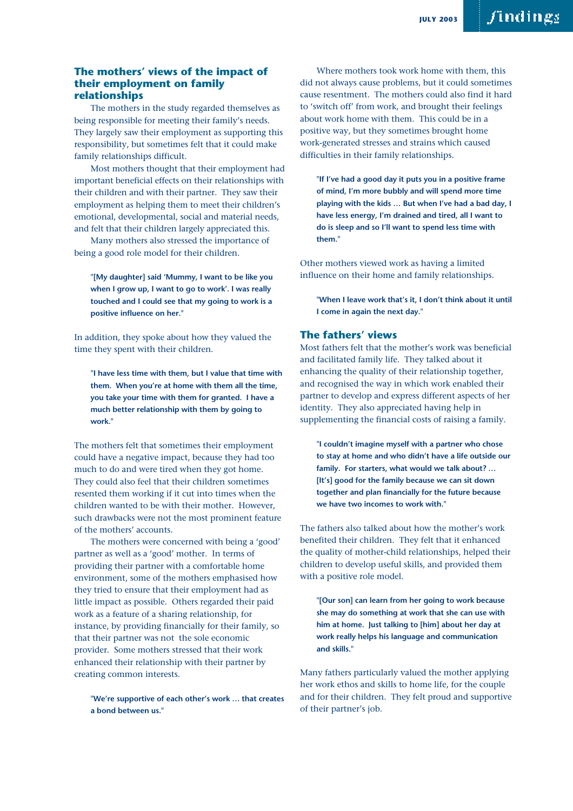# **The mothers' views of the impact of their employment on family relationships**

The mothers in the study regarded themselves as being responsible for meeting their family's needs. They largely saw their employment as supporting this responsibility, but sometimes felt that it could make family relationships difficult.

Most mothers thought that their employment had important beneficial effects on their relationships with their children and with their partner. They saw their employment as helping them to meet their children's emotional, developmental, social and material needs, and felt that their children largely appreciated this.

Many mothers also stressed the importance of being a good role model for their children.

**"[My daughter] said 'Mummy, I want to be like you when I grow up, I want to go to work'. I was really touched and I could see that my going to work is a positive influence on her."**

In addition, they spoke about how they valued the time they spent with their children.

**"I have less time with them, but I value that time with them. When you're at home with them all the time, you take your time with them for granted. I have a much better relationship with them by going to work."**

The mothers felt that sometimes their employment could have a negative impact, because they had too much to do and were tired when they got home. They could also feel that their children sometimes resented them working if it cut into times when the children wanted to be with their mother. However, such drawbacks were not the most prominent feature of the mothers' accounts.

The mothers were concerned with being a 'good' partner as well as a 'good' mother. In terms of providing their partner with a comfortable home environment, some of the mothers emphasised how they tried to ensure that their employment had as little impact as possible. Others regarded their paid work as a feature of a sharing relationship, for instance, by providing financially for their family, so that their partner was not the sole economic provider. Some mothers stressed that their work enhanced their relationship with their partner by creating common interests.

**"We're supportive of each other's work … that creates a bond between us."**

Where mothers took work home with them, this did not always cause problems, but it could sometimes cause resentment. The mothers could also find it hard to 'switch off' from work, and brought their feelings about work home with them. This could be in a positive way, but they sometimes brought home work-generated stresses and strains which caused difficulties in their family relationships.

**"If I've had a good day it puts you in a positive frame of mind, I'm more bubbly and will spend more time playing with the kids … But when I've had a bad day, I have less energy, I'm drained and tired, all I want to do is sleep and so I'll want to spend less time with them."**

Other mothers viewed work as having a limited influence on their home and family relationships.

**"When I leave work that's it, I don't think about it until I come in again the next day."**

### **The fathers' views**

Most fathers felt that the mother's work was beneficial and facilitated family life. They talked about it enhancing the quality of their relationship together, and recognised the way in which work enabled their partner to develop and express different aspects of her identity. They also appreciated having help in supplementing the financial costs of raising a family.

**"I couldn't imagine myself with a partner who chose to stay at home and who didn't have a life outside our family. For starters, what would we talk about? … [It's] good for the family because we can sit down together and plan financially for the future because we have two incomes to work with."**

The fathers also talked about how the mother's work benefited their children. They felt that it enhanced the quality of mother-child relationships, helped their children to develop useful skills, and provided them with a positive role model.

**"[Our son] can learn from her going to work because she may do something at work that she can use with him at home. Just talking to [him] about her day at work really helps his language and communication and skills."**

Many fathers particularly valued the mother applying her work ethos and skills to home life, for the couple and for their children. They felt proud and supportive of their partner's job.